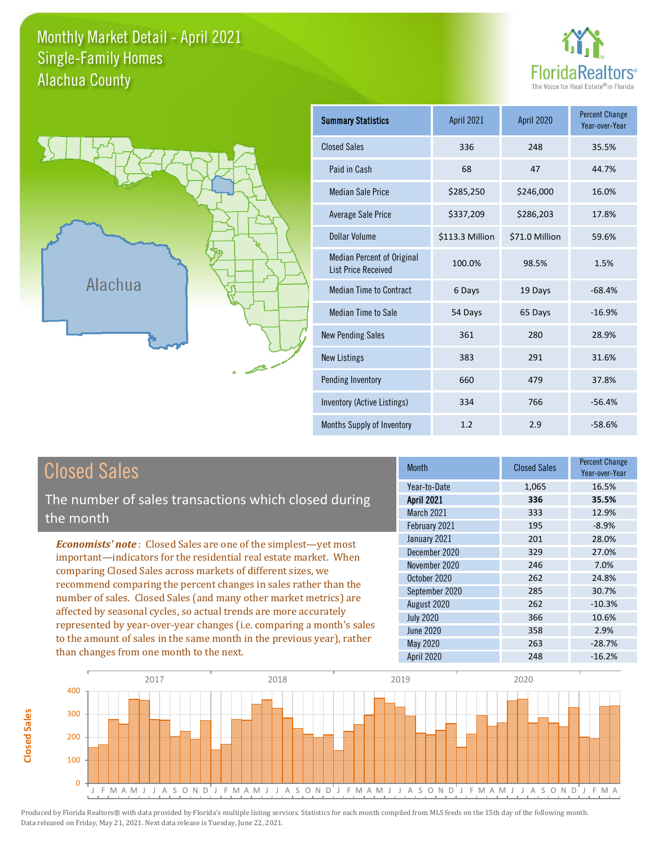### Monthly Market Detail - April 2021 Alachua County Single-Family Homes





| <b>Summary Statistics</b>                                       | <b>April 2021</b> | <b>April 2020</b> | <b>Percent Change</b><br>Year-over-Year |
|-----------------------------------------------------------------|-------------------|-------------------|-----------------------------------------|
| <b>Closed Sales</b>                                             | 336               | 248               | 35.5%                                   |
| Paid in Cash                                                    | 68                | 47                | 44.7%                                   |
| <b>Median Sale Price</b>                                        | \$285,250         | \$246,000         | 16.0%                                   |
| <b>Average Sale Price</b>                                       | \$337,209         | \$286,203         | 17.8%                                   |
| Dollar Volume                                                   | \$113.3 Million   | \$71.0 Million    | 59.6%                                   |
| <b>Median Percent of Original</b><br><b>List Price Received</b> | 100.0%            | 98.5%             | 1.5%                                    |
| <b>Median Time to Contract</b>                                  | 6 Days            | 19 Days           | $-68.4%$                                |
| <b>Median Time to Sale</b>                                      | 54 Days           | 65 Days           | $-16.9%$                                |
| <b>New Pending Sales</b>                                        | 361               | 280               | 28.9%                                   |
| <b>New Listings</b>                                             | 383               | 291               | 31.6%                                   |
| Pending Inventory                                               | 660               | 479               | 37.8%                                   |
| Inventory (Active Listings)                                     | 334               | 766               | $-56.4%$                                |
| Months Supply of Inventory                                      | 1.2               | 2.9               | $-58.6%$                                |

# Closed Sales

The number of sales transactions which closed during the month

*Economists' note* : Closed Sales are one of the simplest—yet most important—indicators for the residential real estate market. When comparing Closed Sales across markets of different sizes, we recommend comparing the percent changes in sales rather than the number of sales. Closed Sales (and many other market metrics) are affected by seasonal cycles, so actual trends are more accurately represented by year-over-year changes (i.e. comparing a month's sales to the amount of sales in the same month in the previous year), rather than changes from one month to the next.

| <b>Month</b>      | <b>Closed Sales</b> | <b>Percent Change</b><br>Year-over-Year |
|-------------------|---------------------|-----------------------------------------|
| Year-to-Date      | 1,065               | 16.5%                                   |
| <b>April 2021</b> | 336                 | 35.5%                                   |
| <b>March 2021</b> | 333                 | 12.9%                                   |
| February 2021     | 195                 | $-8.9%$                                 |
| January 2021      | 201                 | 28.0%                                   |
| December 2020     | 329                 | 27.0%                                   |
| November 2020     | 246                 | 7.0%                                    |
| October 2020      | 262                 | 24.8%                                   |
| September 2020    | 285                 | 30.7%                                   |
| August 2020       | 262                 | $-10.3%$                                |
| <b>July 2020</b>  | 366                 | 10.6%                                   |
| <b>June 2020</b>  | 358                 | 2.9%                                    |
| May 2020          | 263                 | $-28.7%$                                |
| April 2020        | 248                 | $-16.2%$                                |

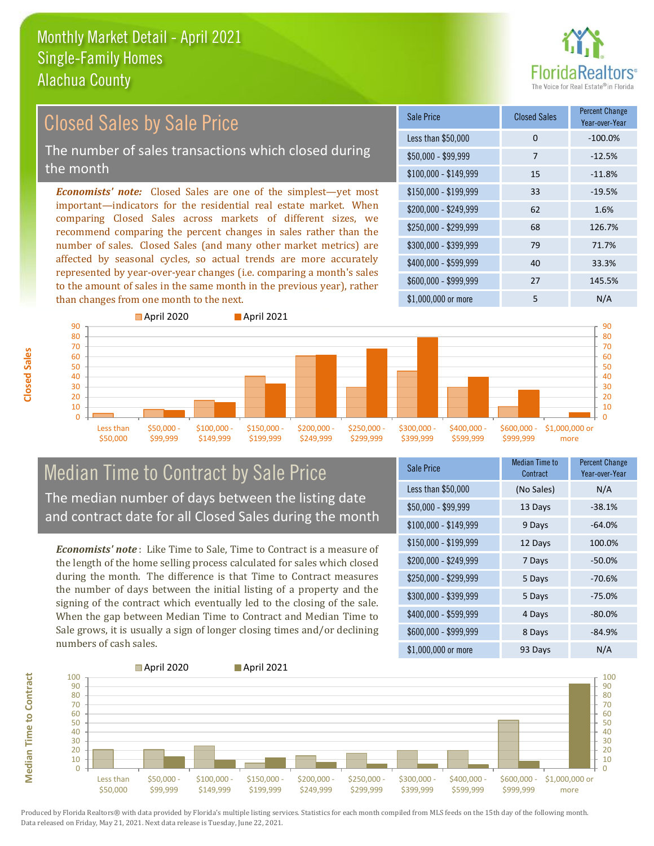

#### *Economists' note:* Closed Sales are one of the simplest—yet most important—indicators for the residential real estate market. When comparing Closed Sales across markets of different sizes, we recommend comparing the percent changes in sales rather than the number of sales. Closed Sales (and many other market metrics) are affected by seasonal cycles, so actual trends are more accurately represented by year-over-year changes (i.e. comparing a month's sales to the amount of sales in the same month in the previous year), rather than changes from one month to the next. \$1,000,000 or more 5 N/A \$250,000 - \$299,999 68 126.7% \$300,000 - \$399,999 79 71.7% \$400,000 - \$599,999 40 33.3% \$600,000 - \$999,999 27 145.5% \$150,000 - \$199,999 33 -19.5% \$200,000 - \$249,999 62 1.6% \$100,000 - \$149,999 15 -11.8% Sale Price Closed Sales Percent Change Year-over-Year Less than \$50,000 0 0 -100.0% \$50,000 - \$99,999 7 -12.5% **April 2020 April 2021** Closed Sales by Sale Price The number of sales transactions which closed during the month



### Median Time to Contract by Sale Price The median number of days between the listing date and contract date for all Closed Sales during the month

*Economists' note* : Like Time to Sale, Time to Contract is a measure of the length of the home selling process calculated for sales which closed during the month. The difference is that Time to Contract measures the number of days between the initial listing of a property and the signing of the contract which eventually led to the closing of the sale. When the gap between Median Time to Contract and Median Time to Sale grows, it is usually a sign of longer closing times and/or declining numbers of cash sales.

| <b>Sale Price</b>     | Median Time to<br>Contract | Percent Change<br>Year-over-Year |
|-----------------------|----------------------------|----------------------------------|
| Less than \$50,000    | (No Sales)                 | N/A                              |
| $$50,000 - $99,999$   | 13 Days                    | $-38.1%$                         |
| $$100,000 - $149,999$ | 9 Days                     | $-64.0%$                         |
| $$150,000 - $199,999$ | 12 Days                    | 100.0%                           |
| \$200,000 - \$249,999 | 7 Days                     | $-50.0%$                         |
| \$250,000 - \$299,999 | 5 Days                     | $-70.6%$                         |
| \$300,000 - \$399,999 | 5 Days                     | $-75.0%$                         |
| \$400,000 - \$599,999 | 4 Days                     | $-80.0%$                         |
| \$600,000 - \$999,999 | 8 Days                     | $-84.9%$                         |
| \$1,000,000 or more   | 93 Days                    | N/A                              |



Produced by Florida Realtors® with data provided by Florida's multiple listing services. Statistics for each month compiled from MLS feeds on the 15th day of the following month. Data released on Friday, May 21, 2021. Next data release is Tuesday, June 22, 2021.

**Median Time to Contract**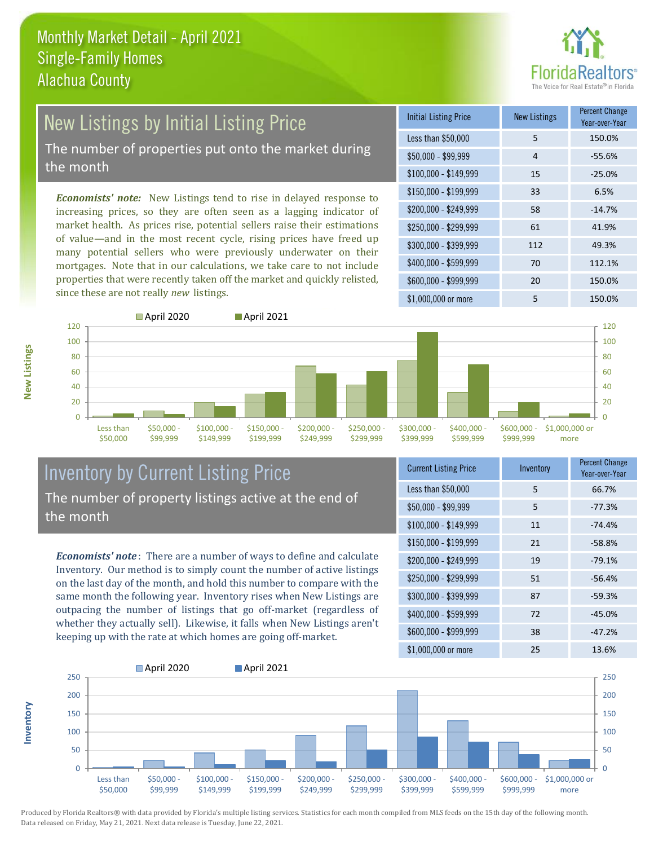

# New Listings by Initial Listing Price

The number of properties put onto the market during the month

*Economists' note:* New Listings tend to rise in delayed response to increasing prices, so they are often seen as a lagging indicator of market health. As prices rise, potential sellers raise their estimations of value—and in the most recent cycle, rising prices have freed up many potential sellers who were previously underwater on their mortgages. Note that in our calculations, we take care to not include properties that were recently taken off the market and quickly relisted, since these are not really *new* listings.

| <b>Initial Listing Price</b> | <b>New Listings</b> | <b>Percent Change</b><br>Year-over-Year |
|------------------------------|---------------------|-----------------------------------------|
| Less than \$50,000           | 5                   | 150.0%                                  |
| $$50,000 - $99,999$          | 4                   | $-55.6%$                                |
| $$100,000 - $149,999$        | 15                  | $-25.0%$                                |
| $$150,000 - $199,999$        | 33                  | 6.5%                                    |
| \$200,000 - \$249,999        | 58                  | $-14.7%$                                |
| \$250,000 - \$299,999        | 61                  | 41.9%                                   |
| \$300,000 - \$399,999        | 112                 | 49.3%                                   |
| \$400,000 - \$599,999        | 70                  | 112.1%                                  |
| \$600,000 - \$999,999        | 20                  | 150.0%                                  |
| \$1,000,000 or more          | 5                   | 150.0%                                  |



### Inventory by Current Listing Price The number of property listings active at the end of the month

*Economists' note* : There are a number of ways to define and calculate Inventory. Our method is to simply count the number of active listings on the last day of the month, and hold this number to compare with the same month the following year. Inventory rises when New Listings are outpacing the number of listings that go off-market (regardless of whether they actually sell). Likewise, it falls when New Listings aren't keeping up with the rate at which homes are going off-market.

| <b>Current Listing Price</b> | Inventory | <b>Percent Change</b><br>Year-over-Year |
|------------------------------|-----------|-----------------------------------------|
| Less than \$50,000           | 5         | 66.7%                                   |
| $$50,000 - $99,999$          | 5         | $-77.3%$                                |
| $$100,000 - $149,999$        | 11        | $-74.4%$                                |
| $$150,000 - $199,999$        | 21        | $-58.8%$                                |
| \$200,000 - \$249,999        | 19        | $-79.1%$                                |
| \$250,000 - \$299,999        | 51        | $-56.4%$                                |
| \$300,000 - \$399,999        | 87        | $-59.3%$                                |
| \$400,000 - \$599,999        | 72        | $-45.0%$                                |
| \$600,000 - \$999,999        | 38        | $-47.2%$                                |
| \$1,000,000 or more          | 25        | 13.6%                                   |



Produced by Florida Realtors® with data provided by Florida's multiple listing services. Statistics for each month compiled from MLS feeds on the 15th day of the following month. Data released on Friday, May 21, 2021. Next data release is Tuesday, June 22, 2021.

**Inventory**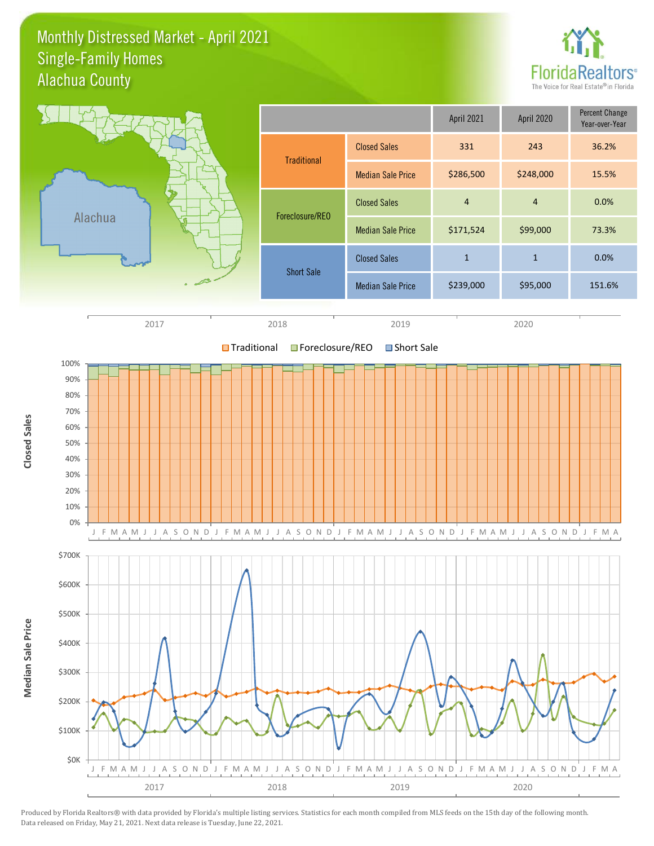### Monthly Distressed Market - April 2021 Alachua County Single-Family Homes



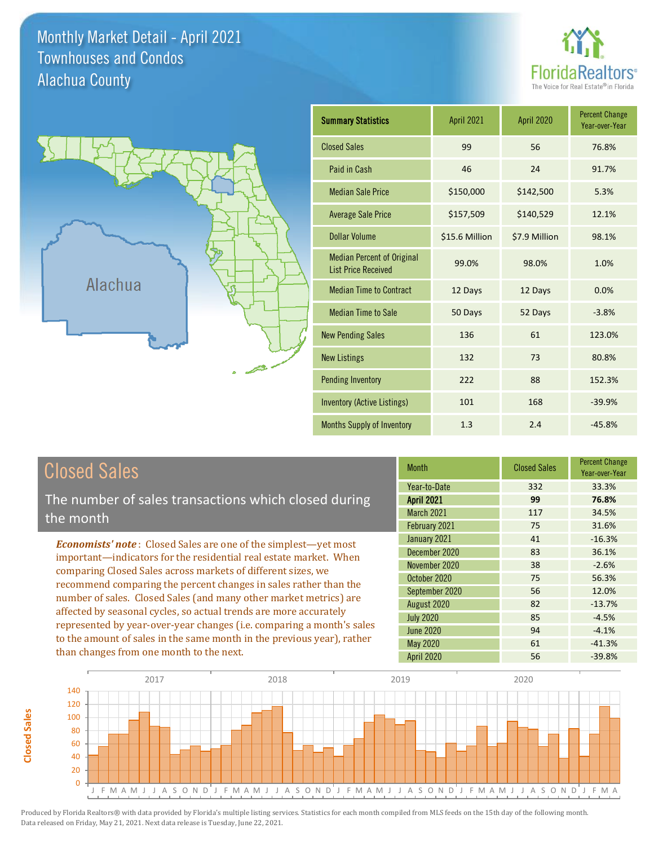Monthly Market Detail - April 2021 Alachua County Townhouses and Condos





| <b>Summary Statistics</b>                                       | <b>April 2021</b> | <b>April 2020</b> | <b>Percent Change</b><br>Year-over-Year |
|-----------------------------------------------------------------|-------------------|-------------------|-----------------------------------------|
| <b>Closed Sales</b>                                             | 99                | 56                | 76.8%                                   |
| Paid in Cash                                                    | 46                | 24                | 91.7%                                   |
| <b>Median Sale Price</b>                                        | \$150,000         | \$142,500         | 5.3%                                    |
| <b>Average Sale Price</b>                                       | \$157,509         | \$140,529         | 12.1%                                   |
| <b>Dollar Volume</b>                                            | \$15.6 Million    | \$7.9 Million     | 98.1%                                   |
| <b>Median Percent of Original</b><br><b>List Price Received</b> | 99.0%             | 98.0%             | 1.0%                                    |
| <b>Median Time to Contract</b>                                  | 12 Days           | 12 Days           | 0.0%                                    |
| <b>Median Time to Sale</b>                                      | 50 Days           | 52 Days           | $-3.8%$                                 |
| <b>New Pending Sales</b>                                        | 136               | 61                | 123.0%                                  |
| <b>New Listings</b>                                             | 132               | 73                | 80.8%                                   |
| <b>Pending Inventory</b>                                        | 222               | 88                | 152.3%                                  |
| <b>Inventory (Active Listings)</b>                              | 101               | 168               | $-39.9%$                                |
| Months Supply of Inventory                                      | 1.3               | 2.4               | $-45.8%$                                |

# Closed Sales

The number of sales transactions which closed during the month

*Economists' note* : Closed Sales are one of the simplest—yet most important—indicators for the residential real estate market. When comparing Closed Sales across markets of different sizes, we recommend comparing the percent changes in sales rather than the number of sales. Closed Sales (and many other market metrics) are affected by seasonal cycles, so actual trends are more accurately represented by year-over-year changes (i.e. comparing a month's sales to the amount of sales in the same month in the previous year), rather than changes from one month to the next.

| <b>Month</b>      | <b>Closed Sales</b> | <b>Percent Change</b><br>Year-over-Year |
|-------------------|---------------------|-----------------------------------------|
| Year-to-Date      | 332                 | 33.3%                                   |
| <b>April 2021</b> | 99                  | 76.8%                                   |
| <b>March 2021</b> | 117                 | 34.5%                                   |
| February 2021     | 75                  | 31.6%                                   |
| January 2021      | 41                  | $-16.3%$                                |
| December 2020     | 83                  | 36.1%                                   |
| November 2020     | 38                  | $-2.6%$                                 |
| October 2020      | 75                  | 56.3%                                   |
| September 2020    | 56                  | 12.0%                                   |
| August 2020       | 82                  | $-13.7%$                                |
| <b>July 2020</b>  | 85                  | $-4.5%$                                 |
| <b>June 2020</b>  | 94                  | $-4.1%$                                 |
| May 2020          | 61                  | $-41.3%$                                |
| April 2020        | 56                  | $-39.8%$                                |

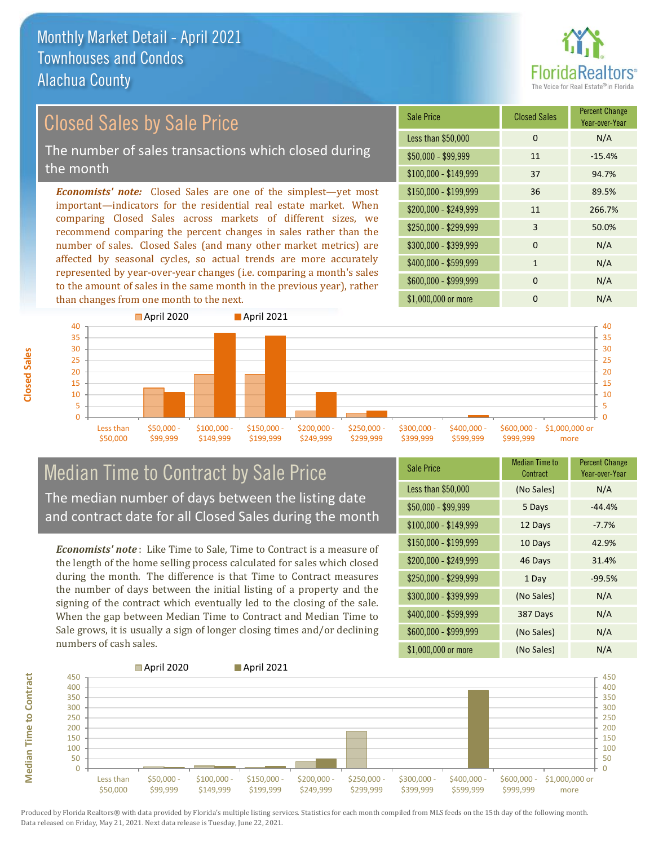

# Closed Sales by Sale Price The number of sales transactions which closed during

the month

*Economists' note:* Closed Sales are one of the simplest—yet most important—indicators for the residential real estate market. When comparing Closed Sales across markets of different sizes, we recommend comparing the percent changes in sales rather than the number of sales. Closed Sales (and many other market metrics) are affected by seasonal cycles, so actual trends are more accurately represented by year-over-year changes (i.e. comparing a month's sales to the amount of sales in the same month in the previous year), rather than changes from one month to the next.

| Sale Price            | <b>Closed Sales</b> | <b>Percent Change</b><br>Year-over-Year |
|-----------------------|---------------------|-----------------------------------------|
| Less than \$50,000    | 0                   | N/A                                     |
| $$50,000 - $99,999$   | 11                  | $-15.4%$                                |
| $$100,000 - $149,999$ | 37                  | 94.7%                                   |
| $$150,000 - $199,999$ | 36                  | 89.5%                                   |
| \$200,000 - \$249,999 | 11                  | 266.7%                                  |
| \$250,000 - \$299,999 | 3                   | 50.0%                                   |
| \$300,000 - \$399,999 | $\Omega$            | N/A                                     |
| \$400,000 - \$599,999 | 1                   | N/A                                     |
| \$600,000 - \$999,999 | $\Omega$            | N/A                                     |
| \$1,000,000 or more   | n                   | N/A                                     |



### Median Time to Contract by Sale Price The median number of days between the listing date and contract date for all Closed Sales during the month

*Economists' note* : Like Time to Sale, Time to Contract is a measure of the length of the home selling process calculated for sales which closed during the month. The difference is that Time to Contract measures the number of days between the initial listing of a property and the signing of the contract which eventually led to the closing of the sale. When the gap between Median Time to Contract and Median Time to Sale grows, it is usually a sign of longer closing times and/or declining numbers of cash sales.

| <b>Sale Price</b>     | <b>Median Time to</b><br>Contract | <b>Percent Change</b><br>Year-over-Year |
|-----------------------|-----------------------------------|-----------------------------------------|
| Less than \$50,000    | (No Sales)                        | N/A                                     |
| $$50,000 - $99,999$   | 5 Days                            | $-44.4%$                                |
| $$100,000 - $149,999$ | 12 Days                           | $-7.7%$                                 |
| $$150,000 - $199,999$ | 10 Days                           | 42.9%                                   |
| \$200,000 - \$249,999 | 46 Days                           | 31.4%                                   |
| \$250,000 - \$299,999 | 1 Day                             | $-99.5%$                                |
| \$300,000 - \$399,999 | (No Sales)                        | N/A                                     |
| \$400,000 - \$599,999 | 387 Days                          | N/A                                     |
| \$600,000 - \$999,999 | (No Sales)                        | N/A                                     |
| \$1,000,000 or more   | (No Sales)                        | N/A                                     |



**Median Time to Contract**

**Median Time to Contract**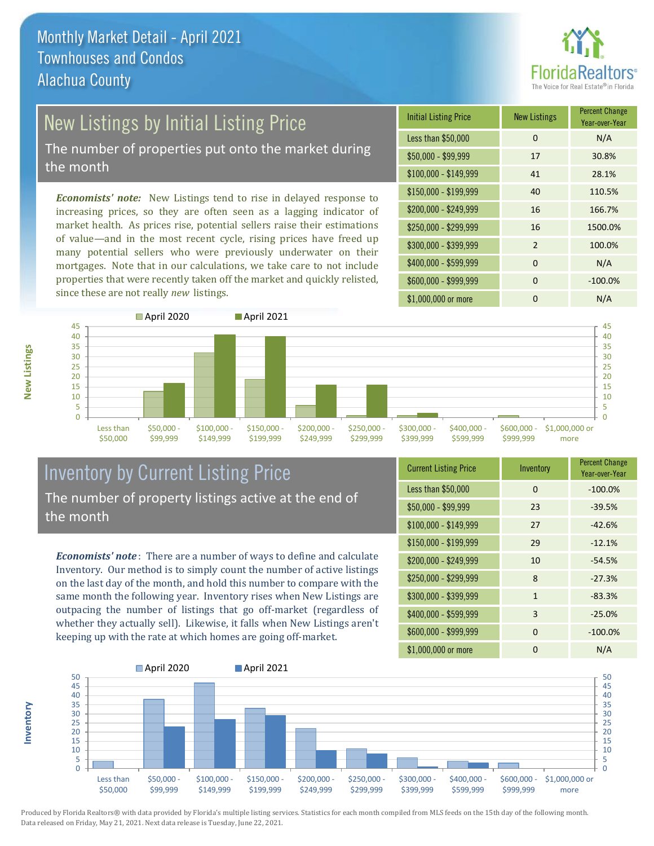

# New Listings by Initial Listing Price

The number of properties put onto the market during the month

*Economists' note:* New Listings tend to rise in delayed response to increasing prices, so they are often seen as a lagging indicator of market health. As prices rise, potential sellers raise their estimations of value—and in the most recent cycle, rising prices have freed up many potential sellers who were previously underwater on their mortgages. Note that in our calculations, we take care to not include properties that were recently taken off the market and quickly relisted, since these are not really *new* listings.

| <b>Initial Listing Price</b> | <b>New Listings</b> | <b>Percent Change</b><br>Year-over-Year |
|------------------------------|---------------------|-----------------------------------------|
| Less than \$50,000           | $\Omega$            | N/A                                     |
| $$50,000 - $99,999$          | 17                  | 30.8%                                   |
| $$100,000 - $149,999$        | 41                  | 28.1%                                   |
| $$150,000 - $199,999$        | 40                  | 110.5%                                  |
| \$200,000 - \$249,999        | 16                  | 166.7%                                  |
| \$250,000 - \$299,999        | 16                  | 1500.0%                                 |
| \$300,000 - \$399,999        | $\mathfrak{p}$      | 100.0%                                  |
| \$400,000 - \$599,999        | $\Omega$            | N/A                                     |
| \$600,000 - \$999,999        | $\Omega$            | $-100.0%$                               |
| \$1,000,000 or more          | ი                   | N/A                                     |



### Inventory by Current Listing Price The number of property listings active at the end of the month

*Economists' note* : There are a number of ways to define and calculate Inventory. Our method is to simply count the number of active listings on the last day of the month, and hold this number to compare with the same month the following year. Inventory rises when New Listings are outpacing the number of listings that go off-market (regardless of whether they actually sell). Likewise, it falls when New Listings aren't keeping up with the rate at which homes are going off-market.

| <b>Current Listing Price</b> | Inventory    | <b>Percent Change</b><br>Year-over-Year |
|------------------------------|--------------|-----------------------------------------|
| Less than \$50,000           | $\Omega$     | $-100.0%$                               |
| $$50,000 - $99,999$          | 23           | $-39.5%$                                |
| $$100,000 - $149,999$        | 27           | $-42.6%$                                |
| $$150,000 - $199,999$        | 29           | $-12.1%$                                |
| \$200,000 - \$249,999        | 10           | $-54.5%$                                |
| \$250,000 - \$299,999        | 8            | $-27.3%$                                |
| \$300,000 - \$399,999        | $\mathbf{1}$ | $-83.3%$                                |
| \$400,000 - \$599,999        | 3            | $-25.0%$                                |
| \$600,000 - \$999,999        | $\Omega$     | $-100.0%$                               |
| \$1,000,000 or more          | ŋ            | N/A                                     |



Produced by Florida Realtors® with data provided by Florida's multiple listing services. Statistics for each month compiled from MLS feeds on the 15th day of the following month. Data released on Friday, May 21, 2021. Next data release is Tuesday, June 22, 2021.

**Inventory**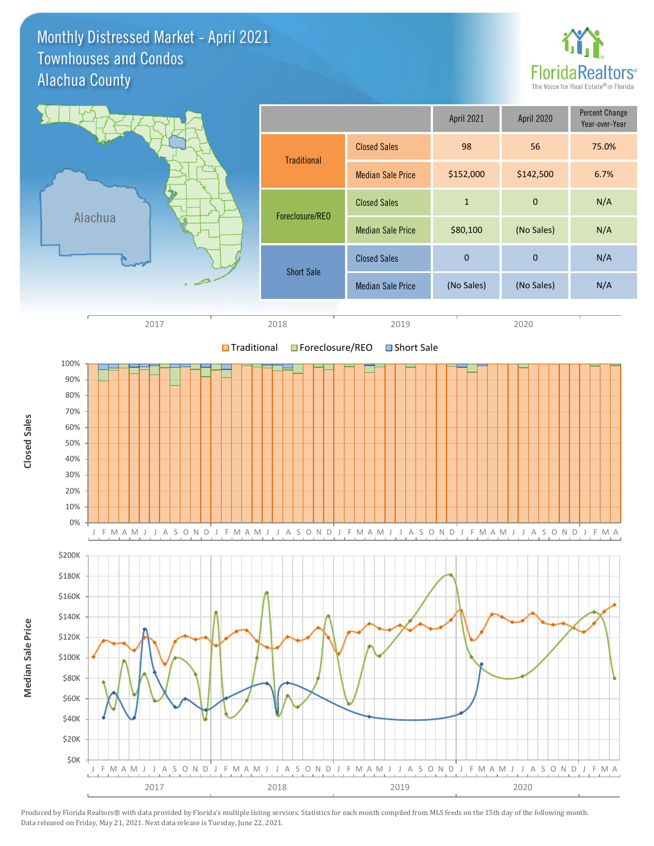Monthly Distressed Market - April 2021 Alachua County Townhouses and Condos



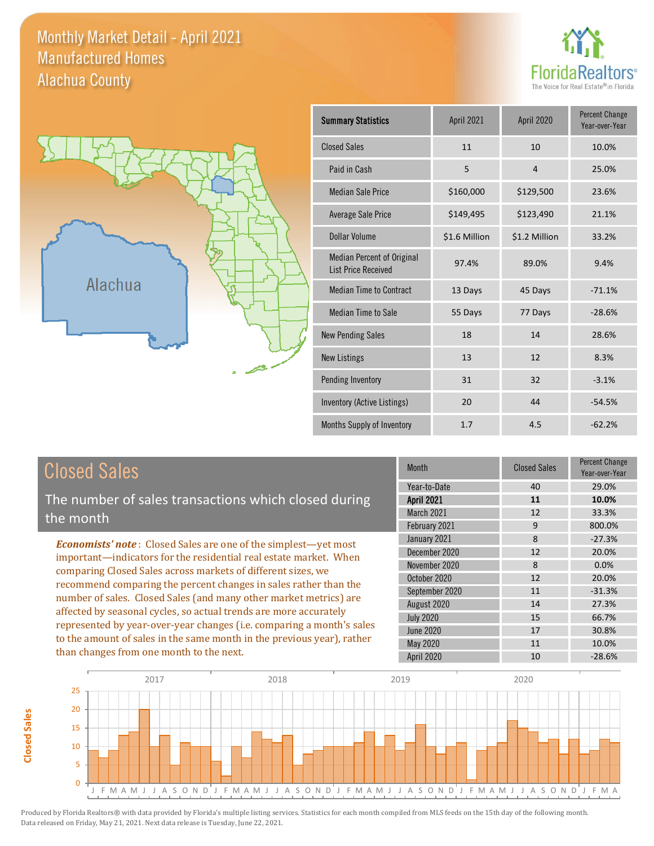### Monthly Market Detail - April 2021 Alachua County Manufactured Homes





| <b>Summary Statistics</b>                                       | April 2021    | April 2020     | <b>Percent Change</b><br>Year-over-Year |
|-----------------------------------------------------------------|---------------|----------------|-----------------------------------------|
| <b>Closed Sales</b>                                             | 11            | 10             | 10.0%                                   |
| Paid in Cash                                                    | 5             | $\overline{4}$ | 25.0%                                   |
| <b>Median Sale Price</b>                                        | \$160,000     | \$129,500      | 23.6%                                   |
| <b>Average Sale Price</b>                                       | \$149,495     | \$123,490      | 21.1%                                   |
| Dollar Volume                                                   | \$1.6 Million | \$1.2 Million  | 33.2%                                   |
| <b>Median Percent of Original</b><br><b>List Price Received</b> | 97.4%         | 89.0%          | 9.4%                                    |
| <b>Median Time to Contract</b>                                  | 13 Days       | 45 Days        | $-71.1%$                                |
| <b>Median Time to Sale</b>                                      | 55 Days       | 77 Days        | $-28.6%$                                |
| <b>New Pending Sales</b>                                        | 18            | 14             | 28.6%                                   |
| <b>New Listings</b>                                             | 13            | 12             | 8.3%                                    |
| Pending Inventory                                               | 31            | 32             | $-3.1%$                                 |
| Inventory (Active Listings)                                     | 20            | 44             | $-54.5%$                                |
| Months Supply of Inventory                                      | 1.7           | 4.5            | $-62.2%$                                |

# Closed Sales

The number of sales transactions which closed during the month

*Economists' note* : Closed Sales are one of the simplest—yet most important—indicators for the residential real estate market. When comparing Closed Sales across markets of different sizes, we recommend comparing the percent changes in sales rather than the number of sales. Closed Sales (and many other market metrics) are affected by seasonal cycles, so actual trends are more accurately represented by year-over-year changes (i.e. comparing a month's sales to the amount of sales in the same month in the previous year), rather than changes from one month to the next.

| <b>Month</b>      | <b>Closed Sales</b> | Percent Change<br>Year-over-Year |
|-------------------|---------------------|----------------------------------|
| Year-to-Date      | 40                  | 29.0%                            |
| <b>April 2021</b> | 11                  | 10.0%                            |
| March 2021        | 12                  | 33.3%                            |
| February 2021     | 9                   | 800.0%                           |
| January 2021      | 8                   | $-27.3%$                         |
| December 2020     | 12                  | 20.0%                            |
| November 2020     | 8                   | 0.0%                             |
| October 2020      | 12                  | 20.0%                            |
| September 2020    | 11                  | $-31.3%$                         |
| August 2020       | 14                  | 27.3%                            |
| <b>July 2020</b>  | 15                  | 66.7%                            |
| <b>June 2020</b>  | 17                  | 30.8%                            |
| May 2020          | 11                  | 10.0%                            |
| April 2020        | 10                  | $-28.6%$                         |



**Closed Sales**

**Closed Sales**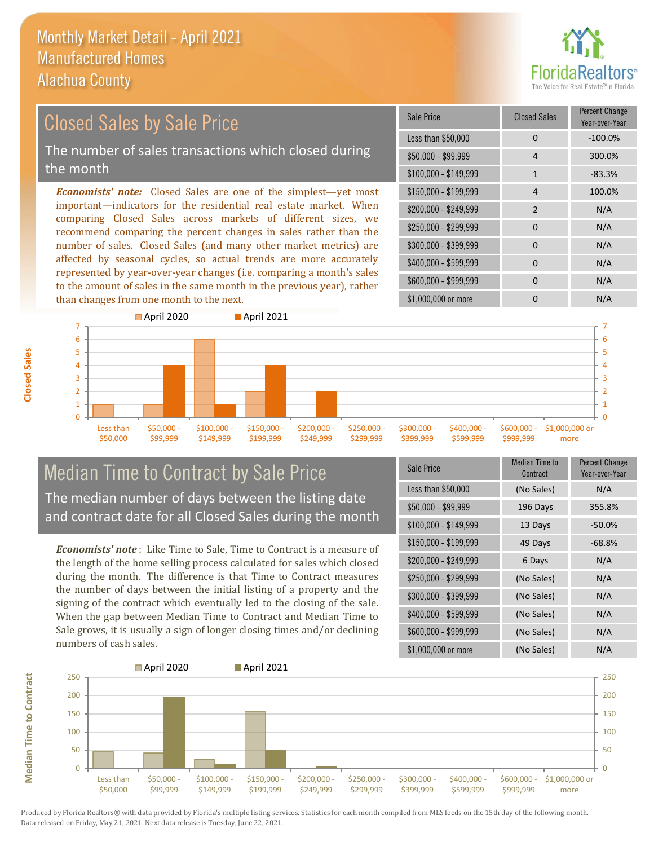than changes from one month to the next.



#### *Economists' note:* Closed Sales are one of the simplest—yet most important—indicators for the residential real estate market. When comparing Closed Sales across markets of different sizes, we recommend comparing the percent changes in sales rather than the number of sales. Closed Sales (and many other market metrics) are affected by seasonal cycles, so actual trends are more accurately represented by year-over-year changes (i.e. comparing a month's sales to the amount of sales in the same month in the previous year), rather \$250,000 - \$299,999 0 N/A \$300,000 - \$399,999 0 0 N/A  $$400,000 - $599,999$  0 N/A \$600,000 - \$999,999 0 0 N/A \$150,000 - \$199,999 4 100.0% \$200,000 - \$249,999 2 N/A  $$100,000 - $149,999$  1 -83.3% Sale Price Closed Sales Percent Change Year-over-Year Less than \$50,000 0 0 -100.0% \$50,000 - \$99,999 4 300.0% Closed Sales by Sale Price The number of sales transactions which closed during the month



### Median Time to Contract by Sale Price The median number of days between the listing date and contract date for all Closed Sales during the month

*Economists' note* : Like Time to Sale, Time to Contract is a measure of the length of the home selling process calculated for sales which closed during the month. The difference is that Time to Contract measures the number of days between the initial listing of a property and the signing of the contract which eventually led to the closing of the sale. When the gap between Median Time to Contract and Median Time to Sale grows, it is usually a sign of longer closing times and/or declining numbers of cash sales.

| Sale Price            | Median Time to<br>Contract | <b>Percent Change</b><br>Year-over-Year |
|-----------------------|----------------------------|-----------------------------------------|
| Less than \$50,000    | (No Sales)                 | N/A                                     |
| $$50,000 - $99,999$   | 196 Days                   | 355.8%                                  |
| $$100,000 - $149,999$ | 13 Days                    | $-50.0%$                                |
| $$150,000 - $199,999$ | 49 Days                    | $-68.8%$                                |
| \$200,000 - \$249,999 | 6 Days                     | N/A                                     |
| \$250,000 - \$299,999 | (No Sales)                 | N/A                                     |
| \$300,000 - \$399,999 | (No Sales)                 | N/A                                     |
| \$400,000 - \$599,999 | (No Sales)                 | N/A                                     |
| \$600,000 - \$999,999 | (No Sales)                 | N/A                                     |
| \$1,000,000 or more   | (No Sales)                 | N/A                                     |

\$1,000,000 or more 0 0 N/A



**Closed Sales**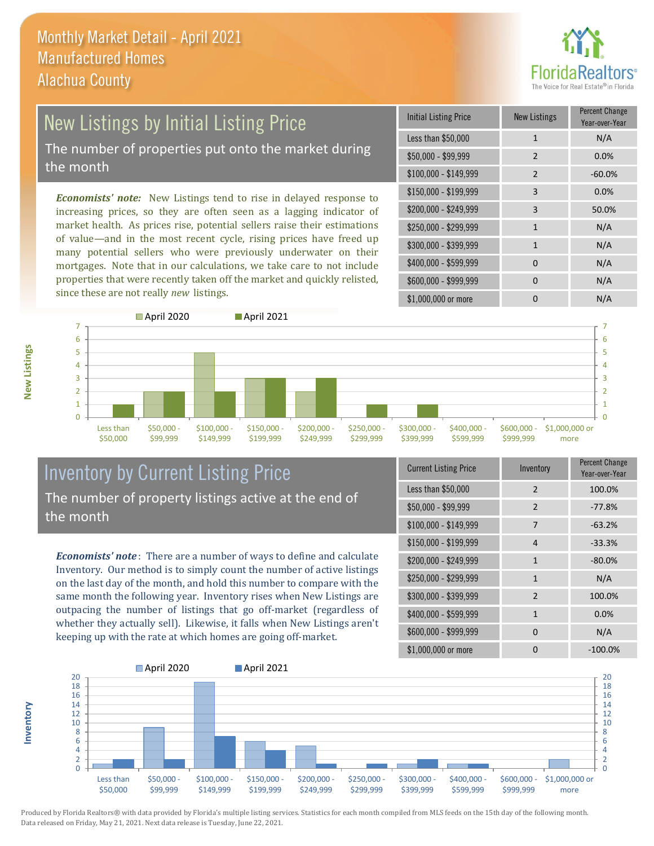

# New Listings by Initial Listing Price The number of properties put onto the market during

the month

*Economists' note:* New Listings tend to rise in delayed response to increasing prices, so they are often seen as a lagging indicator of market health. As prices rise, potential sellers raise their estimations of value—and in the most recent cycle, rising prices have freed up many potential sellers who were previously underwater on their mortgages. Note that in our calculations, we take care to not include properties that were recently taken off the market and quickly relisted, since these are not really *new* listings.

| <b>Initial Listing Price</b> | <b>New Listings</b> | <b>Percent Change</b><br>Year-over-Year |
|------------------------------|---------------------|-----------------------------------------|
| Less than \$50,000           | $\mathbf{1}$        | N/A                                     |
| $$50,000 - $99,999$          | $\overline{2}$      | 0.0%                                    |
| $$100,000 - $149,999$        | $\mathcal{P}$       | $-60.0%$                                |
| $$150,000 - $199,999$        | 3                   | 0.0%                                    |
| \$200,000 - \$249,999        | 3                   | 50.0%                                   |
| \$250,000 - \$299,999        | $\mathbf{1}$        | N/A                                     |
| \$300,000 - \$399,999        | 1                   | N/A                                     |
| \$400,000 - \$599,999        | $\Omega$            | N/A                                     |
| \$600,000 - \$999,999        | $\Omega$            | N/A                                     |
| \$1,000,000 or more          |                     | N/A                                     |



### Inventory by Current Listing Price The number of property listings active at the end of the month

*Economists' note* : There are a number of ways to define and calculate Inventory. Our method is to simply count the number of active listings on the last day of the month, and hold this number to compare with the same month the following year. Inventory rises when New Listings are outpacing the number of listings that go off-market (regardless of whether they actually sell). Likewise, it falls when New Listings aren't keeping up with the rate at which homes are going off-market.

| <b>Current Listing Price</b> | Inventory      | Percent Change<br>Year-over-Year |
|------------------------------|----------------|----------------------------------|
| Less than \$50,000           | $\mathfrak{D}$ | 100.0%                           |
| $$50,000 - $99,999$          | 2              | $-77.8%$                         |
| $$100,000 - $149,999$        | 7              | $-63.2%$                         |
| \$150,000 - \$199,999        | 4              | $-33.3%$                         |
| \$200,000 - \$249,999        | 1              | $-80.0%$                         |
| \$250,000 - \$299,999        | $\mathbf{1}$   | N/A                              |
| \$300,000 - \$399,999        | 2              | 100.0%                           |
| \$400,000 - \$599,999        | $\mathbf{1}$   | 0.0%                             |
| \$600,000 - \$999,999        | <sup>0</sup>   | N/A                              |
| \$1,000,000 or more          | ŋ              | $-100.0\%$                       |



Produced by Florida Realtors® with data provided by Florida's multiple listing services. Statistics for each month compiled from MLS feeds on the 15th day of the following month. Data released on Friday, May 21, 2021. Next data release is Tuesday, June 22, 2021.

**Inventory**